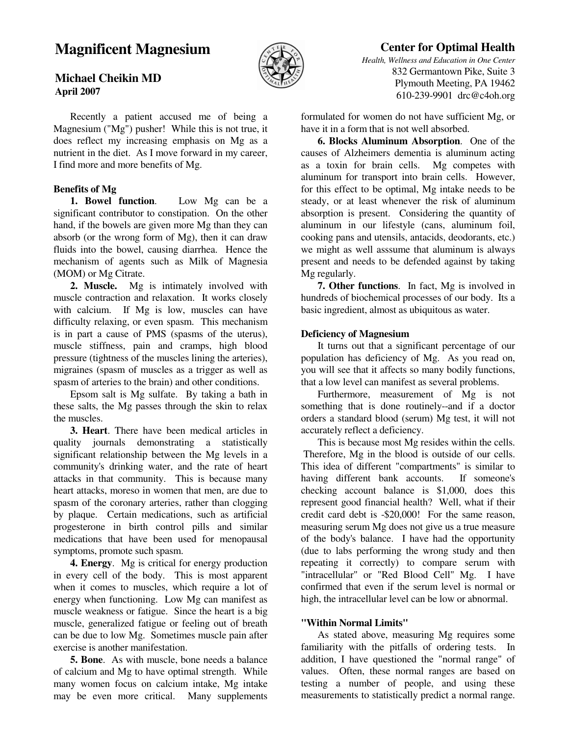# **Magnificent Magnesium**



# **Michael Cheikin MD April 2007**

 Recently a patient accused me of being a Magnesium ("Mg") pusher! While this is not true, it does reflect my increasing emphasis on Mg as a nutrient in the diet. As I move forward in my career, I find more and more benefits of Mg.

# **Benefits of Mg**

 **1. Bowel function**. Low Mg can be a significant contributor to constipation. On the other hand, if the bowels are given more Mg than they can absorb (or the wrong form of Mg), then it can draw fluids into the bowel, causing diarrhea. Hence the mechanism of agents such as Milk of Magnesia (MOM) or Mg Citrate.

 **2. Muscle.** Mg is intimately involved with muscle contraction and relaxation. It works closely with calcium. If Mg is low, muscles can have difficulty relaxing, or even spasm. This mechanism is in part a cause of PMS (spasms of the uterus), muscle stiffness, pain and cramps, high blood pressure (tightness of the muscles lining the arteries), migraines (spasm of muscles as a trigger as well as spasm of arteries to the brain) and other conditions.

 Epsom salt is Mg sulfate. By taking a bath in these salts, the Mg passes through the skin to relax the muscles.

 **3. Heart**. There have been medical articles in quality journals demonstrating a statistically significant relationship between the Mg levels in a community's drinking water, and the rate of heart attacks in that community. This is because many heart attacks, moreso in women that men, are due to spasm of the coronary arteries, rather than clogging by plaque. Certain medications, such as artificial progesterone in birth control pills and similar medications that have been used for menopausal symptoms, promote such spasm.

 **4. Energy**. Mg is critical for energy production in every cell of the body. This is most apparent when it comes to muscles, which require a lot of energy when functioning. Low Mg can manifest as muscle weakness or fatigue. Since the heart is a big muscle, generalized fatigue or feeling out of breath can be due to low Mg. Sometimes muscle pain after exercise is another manifestation.

 **5. Bone**. As with muscle, bone needs a balance of calcium and Mg to have optimal strength. While many women focus on calcium intake, Mg intake may be even more critical. Many supplements

# **Center for Optimal Health**

*Health, Wellness and Education in One Center* 832 Germantown Pike, Suite 3 Plymouth Meeting, PA 19462 610-239-9901 drc@c4oh.org

formulated for women do not have sufficient Mg, or have it in a form that is not well absorbed.

 **6. Blocks Aluminum Absorption**. One of the causes of Alzheimers dementia is aluminum acting as a toxin for brain cells. Mg competes with aluminum for transport into brain cells. However, for this effect to be optimal, Mg intake needs to be steady, or at least whenever the risk of aluminum absorption is present. Considering the quantity of aluminum in our lifestyle (cans, aluminum foil, cooking pans and utensils, antacids, deodorants, etc.) we might as well asssume that aluminum is always present and needs to be defended against by taking Mg regularly.

 **7. Other functions**. In fact, Mg is involved in hundreds of biochemical processes of our body. Its a basic ingredient, almost as ubiquitous as water.

#### **Deficiency of Magnesium**

 It turns out that a significant percentage of our population has deficiency of Mg. As you read on, you will see that it affects so many bodily functions, that a low level can manifest as several problems.

 Furthermore, measurement of Mg is not something that is done routinely--and if a doctor orders a standard blood (serum) Mg test, it will not accurately reflect a deficiency.

 This is because most Mg resides within the cells. Therefore, Mg in the blood is outside of our cells. This idea of different "compartments" is similar to having different bank accounts. If someone's checking account balance is \$1,000, does this represent good financial health? Well, what if their credit card debt is -\$20,000! For the same reason, measuring serum Mg does not give us a true measure of the body's balance. I have had the opportunity (due to labs performing the wrong study and then repeating it correctly) to compare serum with "intracellular" or "Red Blood Cell" Mg. I have confirmed that even if the serum level is normal or high, the intracellular level can be low or abnormal.

# **"Within Normal Limits"**

 As stated above, measuring Mg requires some familiarity with the pitfalls of ordering tests. In addition, I have questioned the "normal range" of values. Often, these normal ranges are based on testing a number of people, and using these measurements to statistically predict a normal range.